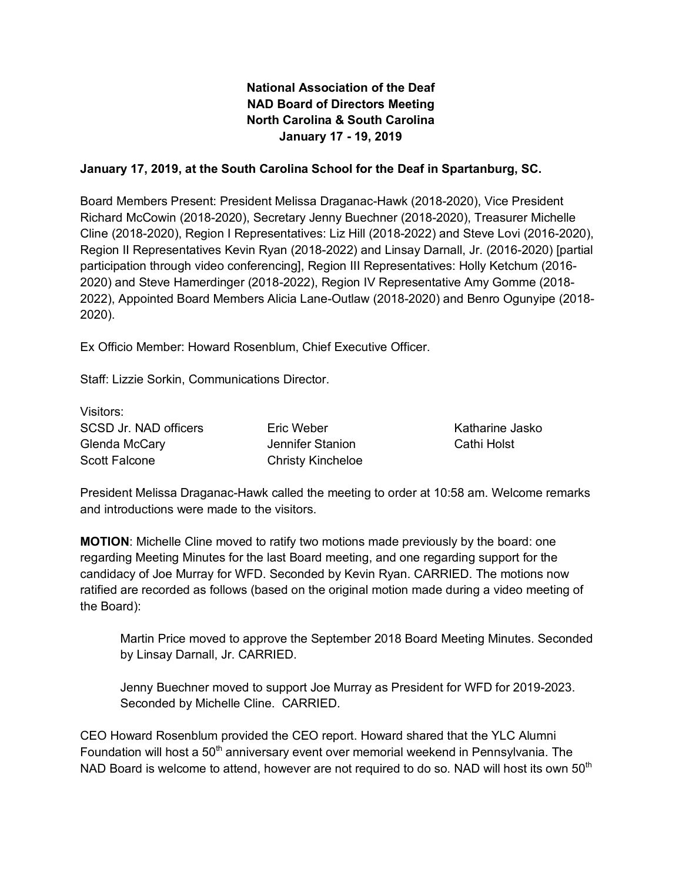# **National Association of the Deaf NAD Board of Directors Meeting North Carolina & South Carolina January 17 - 19, 2019**

### **January 17, 2019, at the South Carolina School for the Deaf in Spartanburg, SC.**

Board Members Present: President Melissa Draganac-Hawk (2018-2020), Vice President Richard McCowin (2018-2020), Secretary Jenny Buechner (2018-2020), Treasurer Michelle Cline (2018-2020), Region I Representatives: Liz Hill (2018-2022) and Steve Lovi (2016-2020), Region II Representatives Kevin Ryan (2018-2022) and Linsay Darnall, Jr. (2016-2020) [partial participation through video conferencing], Region III Representatives: Holly Ketchum (2016- 2020) and Steve Hamerdinger (2018-2022), Region IV Representative Amy Gomme (2018- 2022), Appointed Board Members Alicia Lane-Outlaw (2018-2020) and Benro Ogunyipe (2018- 2020).

Ex Officio Member: Howard Rosenblum, Chief Executive Officer.

Staff: Lizzie Sorkin, Communications Director.

Visitors: SCSD Jr. NAD officers Glenda McCary Scott Falcone

Eric Weber Jennifer Stanion Christy Kincheloe

Katharine Jasko Cathi Holst

President Melissa Draganac-Hawk called the meeting to order at 10:58 am. Welcome remarks and introductions were made to the visitors.

**MOTION**: Michelle Cline moved to ratify two motions made previously by the board: one regarding Meeting Minutes for the last Board meeting, and one regarding support for the candidacy of Joe Murray for WFD. Seconded by Kevin Ryan. CARRIED. The motions now ratified are recorded as follows (based on the original motion made during a video meeting of the Board):

Martin Price moved to approve the September 2018 Board Meeting Minutes. Seconded by Linsay Darnall, Jr. CARRIED.

Jenny Buechner moved to support Joe Murray as President for WFD for 2019-2023. Seconded by Michelle Cline. CARRIED.

CEO Howard Rosenblum provided the CEO report. Howard shared that the YLC Alumni Foundation will host a  $50<sup>th</sup>$  anniversary event over memorial weekend in Pennsylvania. The NAD Board is welcome to attend, however are not required to do so. NAD will host its own 50<sup>th</sup>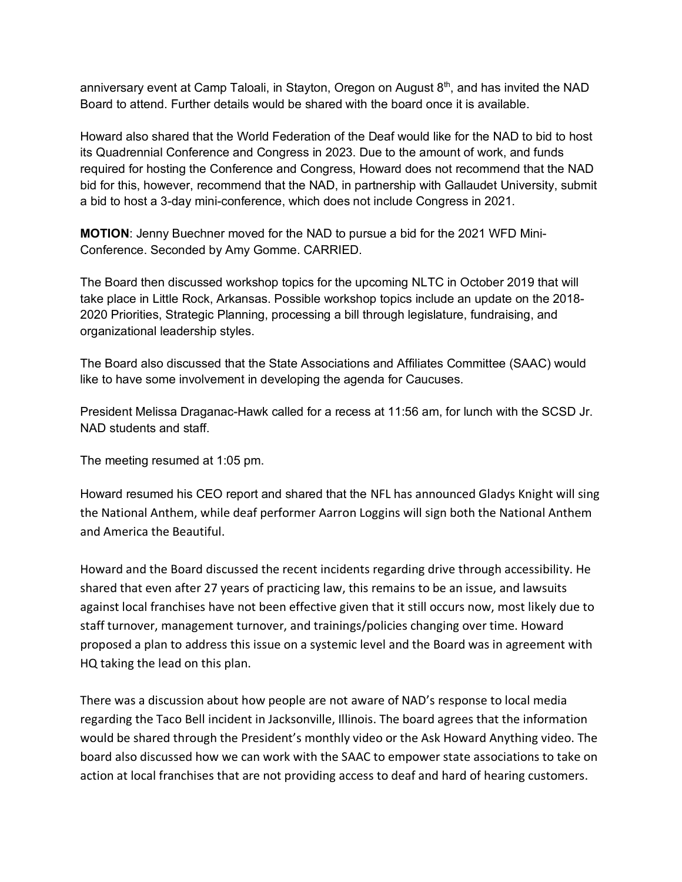anniversary event at Camp Taloali, in Stayton, Oregon on August  $8<sup>th</sup>$ , and has invited the NAD Board to attend. Further details would be shared with the board once it is available.

Howard also shared that the World Federation of the Deaf would like for the NAD to bid to host its Quadrennial Conference and Congress in 2023. Due to the amount of work, and funds required for hosting the Conference and Congress, Howard does not recommend that the NAD bid for this, however, recommend that the NAD, in partnership with Gallaudet University, submit a bid to host a 3-day mini-conference, which does not include Congress in 2021.

**MOTION**: Jenny Buechner moved for the NAD to pursue a bid for the 2021 WFD Mini-Conference. Seconded by Amy Gomme. CARRIED.

The Board then discussed workshop topics for the upcoming NLTC in October 2019 that will take place in Little Rock, Arkansas. Possible workshop topics include an update on the 2018- 2020 Priorities, Strategic Planning, processing a bill through legislature, fundraising, and organizational leadership styles.

The Board also discussed that the State Associations and Affiliates Committee (SAAC) would like to have some involvement in developing the agenda for Caucuses.

President Melissa Draganac-Hawk called for a recess at 11:56 am, for lunch with the SCSD Jr. NAD students and staff.

The meeting resumed at 1:05 pm.

Howard resumed his CEO report and shared that the NFL has announced Gladys Knight will sing the National Anthem, while deaf performer Aarron Loggins will sign both the National Anthem and America the Beautiful.

Howard and the Board discussed the recent incidents regarding drive through accessibility. He shared that even after 27 years of practicing law, this remains to be an issue, and lawsuits against local franchises have not been effective given that it still occurs now, most likely due to staff turnover, management turnover, and trainings/policies changing over time. Howard proposed a plan to address this issue on a systemic level and the Board was in agreement with HQ taking the lead on this plan.

There was a discussion about how people are not aware of NAD's response to local media regarding the Taco Bell incident in Jacksonville, Illinois. The board agrees that the information would be shared through the President's monthly video or the Ask Howard Anything video. The board also discussed how we can work with the SAAC to empower state associations to take on action at local franchises that are not providing access to deaf and hard of hearing customers.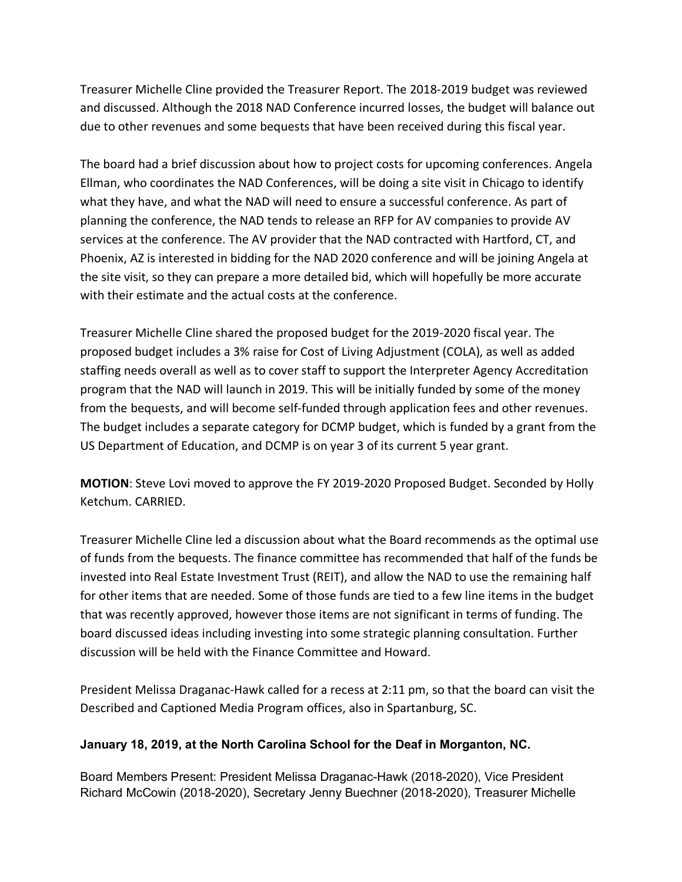Treasurer Michelle Cline provided the Treasurer Report. The 2018-2019 budget was reviewed and discussed. Although the 2018 NAD Conference incurred losses, the budget will balance out due to other revenues and some bequests that have been received during this fiscal year.

The board had a brief discussion about how to project costs for upcoming conferences. Angela Ellman, who coordinates the NAD Conferences, will be doing a site visit in Chicago to identify what they have, and what the NAD will need to ensure a successful conference. As part of planning the conference, the NAD tends to release an RFP for AV companies to provide AV services at the conference. The AV provider that the NAD contracted with Hartford, CT, and Phoenix, AZ is interested in bidding for the NAD 2020 conference and will be joining Angela at the site visit, so they can prepare a more detailed bid, which will hopefully be more accurate with their estimate and the actual costs at the conference.

Treasurer Michelle Cline shared the proposed budget for the 2019-2020 fiscal year. The proposed budget includes a 3% raise for Cost of Living Adjustment (COLA), as well as added staffing needs overall as well as to cover staff to support the Interpreter Agency Accreditation program that the NAD will launch in 2019. This will be initially funded by some of the money from the bequests, and will become self-funded through application fees and other revenues. The budget includes a separate category for DCMP budget, which is funded by a grant from the US Department of Education, and DCMP is on year 3 of its current 5 year grant.

**MOTION**: Steve Lovi moved to approve the FY 2019-2020 Proposed Budget. Seconded by Holly Ketchum. CARRIED.

Treasurer Michelle Cline led a discussion about what the Board recommends as the optimal use of funds from the bequests. The finance committee has recommended that half of the funds be invested into Real Estate Investment Trust (REIT), and allow the NAD to use the remaining half for other items that are needed. Some of those funds are tied to a few line items in the budget that was recently approved, however those items are not significant in terms of funding. The board discussed ideas including investing into some strategic planning consultation. Further discussion will be held with the Finance Committee and Howard.

President Melissa Draganac-Hawk called for a recess at 2:11 pm, so that the board can visit the Described and Captioned Media Program offices, also in Spartanburg, SC.

### **January 18, 2019, at the North Carolina School for the Deaf in Morganton, NC.**

Board Members Present: President Melissa Draganac-Hawk (2018-2020), Vice President Richard McCowin (2018-2020), Secretary Jenny Buechner (2018-2020), Treasurer Michelle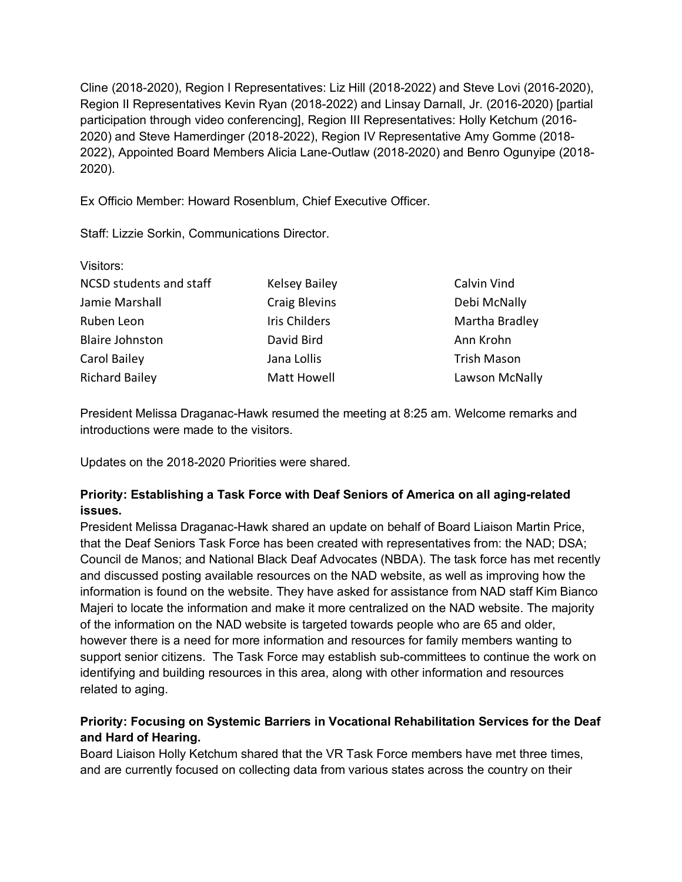Cline (2018-2020), Region I Representatives: Liz Hill (2018-2022) and Steve Lovi (2016-2020), Region II Representatives Kevin Ryan (2018-2022) and Linsay Darnall, Jr. (2016-2020) [partial participation through video conferencing], Region III Representatives: Holly Ketchum (2016- 2020) and Steve Hamerdinger (2018-2022), Region IV Representative Amy Gomme (2018- 2022), Appointed Board Members Alicia Lane-Outlaw (2018-2020) and Benro Ogunyipe (2018- 2020).

Ex Officio Member: Howard Rosenblum, Chief Executive Officer.

Staff: Lizzie Sorkin, Communications Director.

Visitors:

| Visitors:               |                      |                    |
|-------------------------|----------------------|--------------------|
| NCSD students and staff | <b>Kelsey Bailey</b> | Calvin Vind        |
| Jamie Marshall          | Craig Blevins        | Debi McNally       |
| Ruben Leon              | Iris Childers        | Martha Bradley     |
| <b>Blaire Johnston</b>  | David Bird           | Ann Krohn          |
| Carol Bailey            | Jana Lollis          | <b>Trish Mason</b> |
| <b>Richard Bailey</b>   | Matt Howell          | Lawson McNally     |

President Melissa Draganac-Hawk resumed the meeting at 8:25 am. Welcome remarks and introductions were made to the visitors.

Updates on the 2018-2020 Priorities were shared.

# **Priority: Establishing a Task Force with Deaf Seniors of America on all aging-related issues.**

President Melissa Draganac-Hawk shared an update on behalf of Board Liaison Martin Price, that the Deaf Seniors Task Force has been created with representatives from: the NAD; DSA; Council de Manos; and National Black Deaf Advocates (NBDA). The task force has met recently and discussed posting available resources on the NAD website, as well as improving how the information is found on the website. They have asked for assistance from NAD staff Kim Bianco Majeri to locate the information and make it more centralized on the NAD website. The majority of the information on the NAD website is targeted towards people who are 65 and older, however there is a need for more information and resources for family members wanting to support senior citizens. The Task Force may establish sub-committees to continue the work on identifying and building resources in this area, along with other information and resources related to aging.

# **Priority: Focusing on Systemic Barriers in Vocational Rehabilitation Services for the Deaf and Hard of Hearing.**

Board Liaison Holly Ketchum shared that the VR Task Force members have met three times, and are currently focused on collecting data from various states across the country on their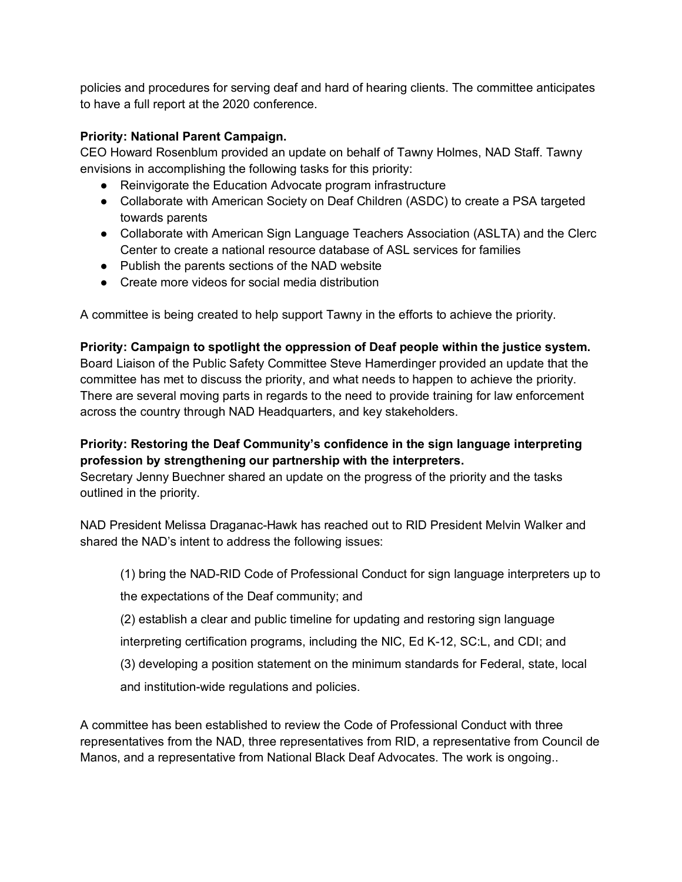policies and procedures for serving deaf and hard of hearing clients. The committee anticipates to have a full report at the 2020 conference.

# **Priority: National Parent Campaign.**

CEO Howard Rosenblum provided an update on behalf of Tawny Holmes, NAD Staff. Tawny envisions in accomplishing the following tasks for this priority:

- Reinvigorate the Education Advocate program infrastructure
- Collaborate with American Society on Deaf Children (ASDC) to create a PSA targeted towards parents
- Collaborate with American Sign Language Teachers Association (ASLTA) and the Clerc Center to create a national resource database of ASL services for families
- Publish the parents sections of the NAD website
- Create more videos for social media distribution

A committee is being created to help support Tawny in the efforts to achieve the priority.

**Priority: Campaign to spotlight the oppression of Deaf people within the justice system.** Board Liaison of the Public Safety Committee Steve Hamerdinger provided an update that the committee has met to discuss the priority, and what needs to happen to achieve the priority. There are several moving parts in regards to the need to provide training for law enforcement across the country through NAD Headquarters, and key stakeholders.

# **Priority: Restoring the Deaf Community's confidence in the sign language interpreting profession by strengthening our partnership with the interpreters.**

Secretary Jenny Buechner shared an update on the progress of the priority and the tasks outlined in the priority.

NAD President Melissa Draganac-Hawk has reached out to RID President Melvin Walker and shared the NAD's intent to address the following issues:

(1) bring the NAD-RID Code of Professional Conduct for sign language interpreters up to

the expectations of the Deaf community; and

- (2) establish a clear and public timeline for updating and restoring sign language
- interpreting certification programs, including the NIC, Ed K-12, SC:L, and CDI; and
- (3) developing a position statement on the minimum standards for Federal, state, local

and institution-wide regulations and policies.

A committee has been established to review the Code of Professional Conduct with three representatives from the NAD, three representatives from RID, a representative from Council de Manos, and a representative from National Black Deaf Advocates. The work is ongoing..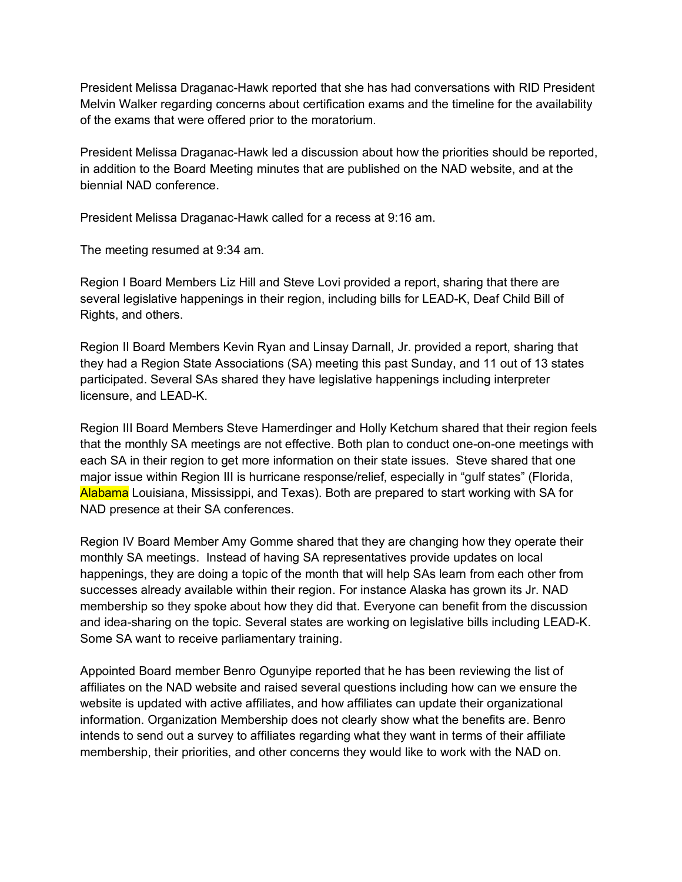President Melissa Draganac-Hawk reported that she has had conversations with RID President Melvin Walker regarding concerns about certification exams and the timeline for the availability of the exams that were offered prior to the moratorium.

President Melissa Draganac-Hawk led a discussion about how the priorities should be reported, in addition to the Board Meeting minutes that are published on the NAD website, and at the biennial NAD conference.

President Melissa Draganac-Hawk called for a recess at 9:16 am.

The meeting resumed at 9:34 am.

Region I Board Members Liz Hill and Steve Lovi provided a report, sharing that there are several legislative happenings in their region, including bills for LEAD-K, Deaf Child Bill of Rights, and others.

Region II Board Members Kevin Ryan and Linsay Darnall, Jr. provided a report, sharing that they had a Region State Associations (SA) meeting this past Sunday, and 11 out of 13 states participated. Several SAs shared they have legislative happenings including interpreter licensure, and LEAD-K.

Region III Board Members Steve Hamerdinger and Holly Ketchum shared that their region feels that the monthly SA meetings are not effective. Both plan to conduct one-on-one meetings with each SA in their region to get more information on their state issues. Steve shared that one major issue within Region III is hurricane response/relief, especially in "gulf states" (Florida, Alabama Louisiana, Mississippi, and Texas). Both are prepared to start working with SA for NAD presence at their SA conferences.

Region IV Board Member Amy Gomme shared that they are changing how they operate their monthly SA meetings. Instead of having SA representatives provide updates on local happenings, they are doing a topic of the month that will help SAs learn from each other from successes already available within their region. For instance Alaska has grown its Jr. NAD membership so they spoke about how they did that. Everyone can benefit from the discussion and idea-sharing on the topic. Several states are working on legislative bills including LEAD-K. Some SA want to receive parliamentary training.

Appointed Board member Benro Ogunyipe reported that he has been reviewing the list of affiliates on the NAD website and raised several questions including how can we ensure the website is updated with active affiliates, and how affiliates can update their organizational information. Organization Membership does not clearly show what the benefits are. Benro intends to send out a survey to affiliates regarding what they want in terms of their affiliate membership, their priorities, and other concerns they would like to work with the NAD on.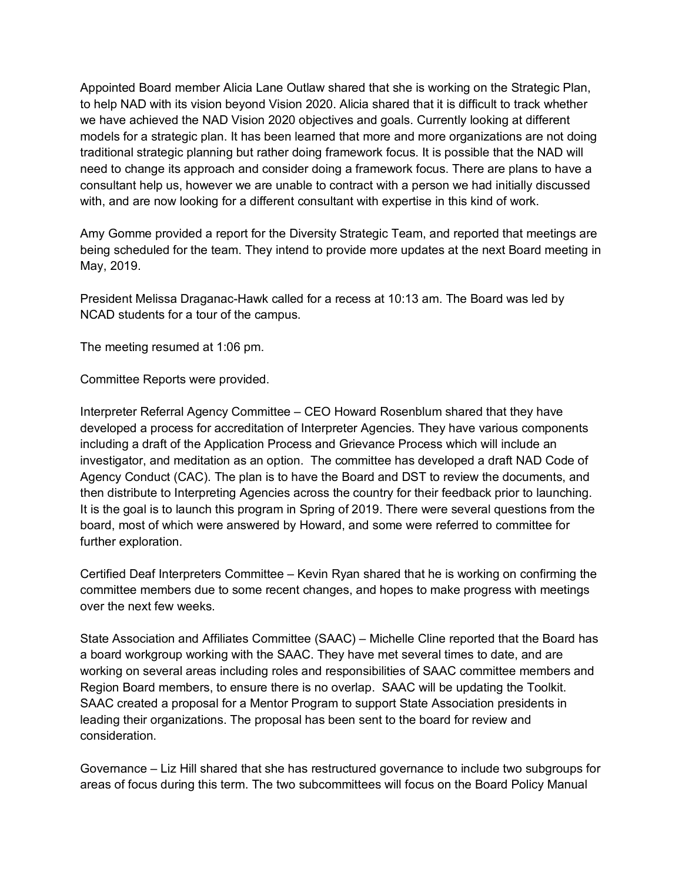Appointed Board member Alicia Lane Outlaw shared that she is working on the Strategic Plan, to help NAD with its vision beyond Vision 2020. Alicia shared that it is difficult to track whether we have achieved the NAD Vision 2020 objectives and goals. Currently looking at different models for a strategic plan. It has been learned that more and more organizations are not doing traditional strategic planning but rather doing framework focus. It is possible that the NAD will need to change its approach and consider doing a framework focus. There are plans to have a consultant help us, however we are unable to contract with a person we had initially discussed with, and are now looking for a different consultant with expertise in this kind of work.

Amy Gomme provided a report for the Diversity Strategic Team, and reported that meetings are being scheduled for the team. They intend to provide more updates at the next Board meeting in May, 2019.

President Melissa Draganac-Hawk called for a recess at 10:13 am. The Board was led by NCAD students for a tour of the campus.

The meeting resumed at 1:06 pm.

Committee Reports were provided.

Interpreter Referral Agency Committee – CEO Howard Rosenblum shared that they have developed a process for accreditation of Interpreter Agencies. They have various components including a draft of the Application Process and Grievance Process which will include an investigator, and meditation as an option. The committee has developed a draft NAD Code of Agency Conduct (CAC). The plan is to have the Board and DST to review the documents, and then distribute to Interpreting Agencies across the country for their feedback prior to launching. It is the goal is to launch this program in Spring of 2019. There were several questions from the board, most of which were answered by Howard, and some were referred to committee for further exploration.

Certified Deaf Interpreters Committee – Kevin Ryan shared that he is working on confirming the committee members due to some recent changes, and hopes to make progress with meetings over the next few weeks.

State Association and Affiliates Committee (SAAC) – Michelle Cline reported that the Board has a board workgroup working with the SAAC. They have met several times to date, and are working on several areas including roles and responsibilities of SAAC committee members and Region Board members, to ensure there is no overlap. SAAC will be updating the Toolkit. SAAC created a proposal for a Mentor Program to support State Association presidents in leading their organizations. The proposal has been sent to the board for review and consideration.

Governance – Liz Hill shared that she has restructured governance to include two subgroups for areas of focus during this term. The two subcommittees will focus on the Board Policy Manual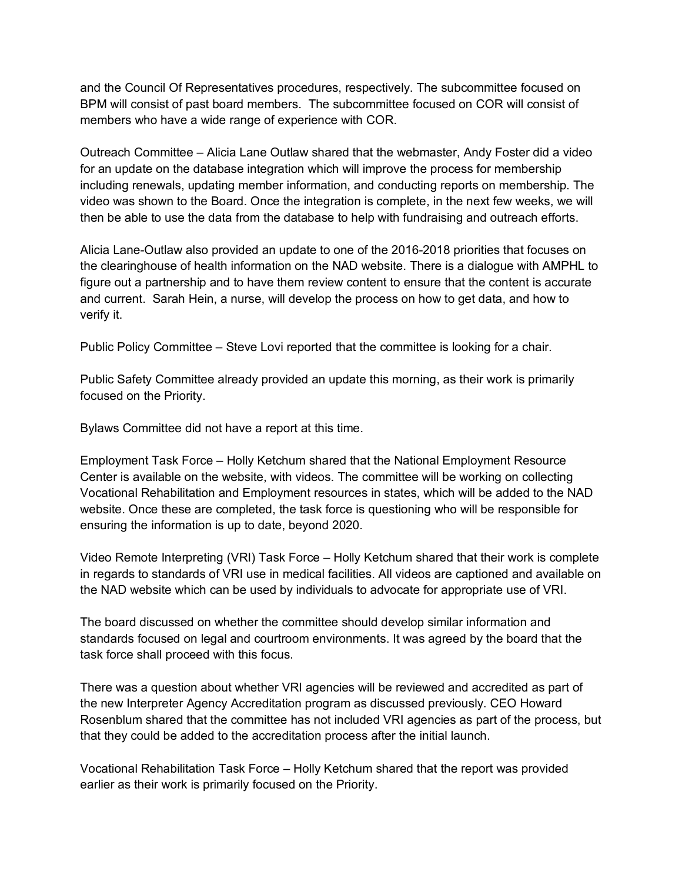and the Council Of Representatives procedures, respectively. The subcommittee focused on BPM will consist of past board members. The subcommittee focused on COR will consist of members who have a wide range of experience with COR.

Outreach Committee – Alicia Lane Outlaw shared that the webmaster, Andy Foster did a video for an update on the database integration which will improve the process for membership including renewals, updating member information, and conducting reports on membership. The video was shown to the Board. Once the integration is complete, in the next few weeks, we will then be able to use the data from the database to help with fundraising and outreach efforts.

Alicia Lane-Outlaw also provided an update to one of the 2016-2018 priorities that focuses on the clearinghouse of health information on the NAD website. There is a dialogue with AMPHL to figure out a partnership and to have them review content to ensure that the content is accurate and current. Sarah Hein, a nurse, will develop the process on how to get data, and how to verify it.

Public Policy Committee – Steve Lovi reported that the committee is looking for a chair.

Public Safety Committee already provided an update this morning, as their work is primarily focused on the Priority.

Bylaws Committee did not have a report at this time.

Employment Task Force – Holly Ketchum shared that the National Employment Resource Center is available on the website, with videos. The committee will be working on collecting Vocational Rehabilitation and Employment resources in states, which will be added to the NAD website. Once these are completed, the task force is questioning who will be responsible for ensuring the information is up to date, beyond 2020.

Video Remote Interpreting (VRI) Task Force – Holly Ketchum shared that their work is complete in regards to standards of VRI use in medical facilities. All videos are captioned and available on the NAD website which can be used by individuals to advocate for appropriate use of VRI.

The board discussed on whether the committee should develop similar information and standards focused on legal and courtroom environments. It was agreed by the board that the task force shall proceed with this focus.

There was a question about whether VRI agencies will be reviewed and accredited as part of the new Interpreter Agency Accreditation program as discussed previously. CEO Howard Rosenblum shared that the committee has not included VRI agencies as part of the process, but that they could be added to the accreditation process after the initial launch.

Vocational Rehabilitation Task Force – Holly Ketchum shared that the report was provided earlier as their work is primarily focused on the Priority.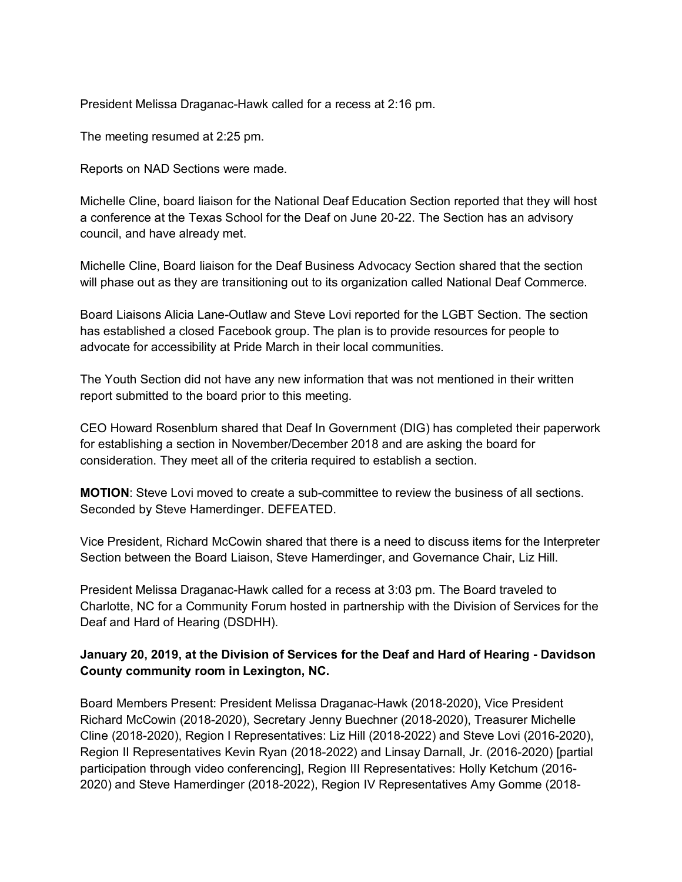President Melissa Draganac-Hawk called for a recess at 2:16 pm.

The meeting resumed at 2:25 pm.

Reports on NAD Sections were made.

Michelle Cline, board liaison for the National Deaf Education Section reported that they will host a conference at the Texas School for the Deaf on June 20-22. The Section has an advisory council, and have already met.

Michelle Cline, Board liaison for the Deaf Business Advocacy Section shared that the section will phase out as they are transitioning out to its organization called National Deaf Commerce.

Board Liaisons Alicia Lane-Outlaw and Steve Lovi reported for the LGBT Section. The section has established a closed Facebook group. The plan is to provide resources for people to advocate for accessibility at Pride March in their local communities.

The Youth Section did not have any new information that was not mentioned in their written report submitted to the board prior to this meeting.

CEO Howard Rosenblum shared that Deaf In Government (DIG) has completed their paperwork for establishing a section in November/December 2018 and are asking the board for consideration. They meet all of the criteria required to establish a section.

**MOTION**: Steve Lovi moved to create a sub-committee to review the business of all sections. Seconded by Steve Hamerdinger. DEFEATED.

Vice President, Richard McCowin shared that there is a need to discuss items for the Interpreter Section between the Board Liaison, Steve Hamerdinger, and Governance Chair, Liz Hill.

President Melissa Draganac-Hawk called for a recess at 3:03 pm. The Board traveled to Charlotte, NC for a Community Forum hosted in partnership with the Division of Services for the Deaf and Hard of Hearing (DSDHH).

#### **January 20, 2019, at the Division of Services for the Deaf and Hard of Hearing - Davidson County community room in Lexington, NC.**

Board Members Present: President Melissa Draganac-Hawk (2018-2020), Vice President Richard McCowin (2018-2020), Secretary Jenny Buechner (2018-2020), Treasurer Michelle Cline (2018-2020), Region I Representatives: Liz Hill (2018-2022) and Steve Lovi (2016-2020), Region II Representatives Kevin Ryan (2018-2022) and Linsay Darnall, Jr. (2016-2020) [partial participation through video conferencing], Region III Representatives: Holly Ketchum (2016- 2020) and Steve Hamerdinger (2018-2022), Region IV Representatives Amy Gomme (2018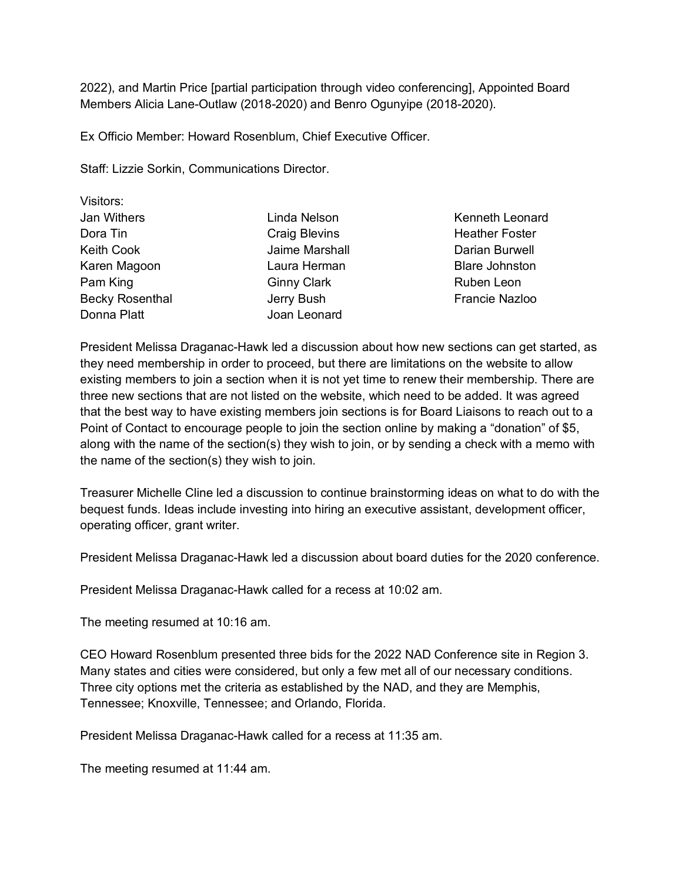2022), and Martin Price [partial participation through video conferencing], Appointed Board Members Alicia Lane-Outlaw (2018-2020) and Benro Ogunyipe (2018-2020).

Ex Officio Member: Howard Rosenblum, Chief Executive Officer.

Staff: Lizzie Sorkin, Communications Director.

| Linda Nelson         |
|----------------------|
| <b>Craig Blevins</b> |
| Jaime Marshall       |
| Laura Herman         |
| <b>Ginny Clark</b>   |
| Jerry Bush           |
| Joan Leonard         |
|                      |

Kenneth Leonard Heather Foster Darian Burwell Blare Johnston Ruben Leon Francie Nazloo

President Melissa Draganac-Hawk led a discussion about how new sections can get started, as they need membership in order to proceed, but there are limitations on the website to allow existing members to join a section when it is not yet time to renew their membership. There are three new sections that are not listed on the website, which need to be added. It was agreed that the best way to have existing members join sections is for Board Liaisons to reach out to a Point of Contact to encourage people to join the section online by making a "donation" of \$5, along with the name of the section(s) they wish to join, or by sending a check with a memo with the name of the section(s) they wish to join.

Treasurer Michelle Cline led a discussion to continue brainstorming ideas on what to do with the bequest funds. Ideas include investing into hiring an executive assistant, development officer, operating officer, grant writer.

President Melissa Draganac-Hawk led a discussion about board duties for the 2020 conference.

President Melissa Draganac-Hawk called for a recess at 10:02 am.

The meeting resumed at 10:16 am.

CEO Howard Rosenblum presented three bids for the 2022 NAD Conference site in Region 3. Many states and cities were considered, but only a few met all of our necessary conditions. Three city options met the criteria as established by the NAD, and they are Memphis, Tennessee; Knoxville, Tennessee; and Orlando, Florida.

President Melissa Draganac-Hawk called for a recess at 11:35 am.

The meeting resumed at 11:44 am.